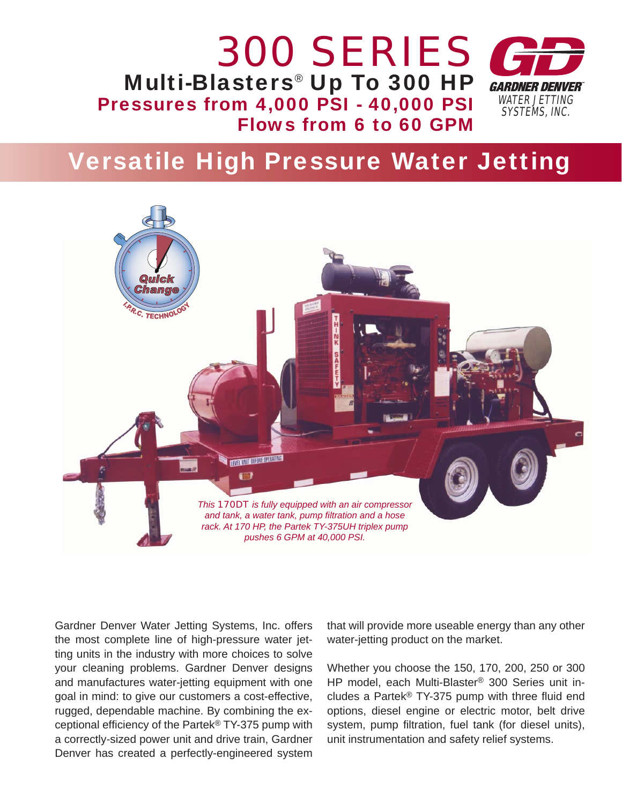

## Versatile High Pressure Water Jetting



Gardner Denver Water Jetting Systems, Inc. offers the most complete line of high-pressure water jetting units in the industry with more choices to solve your cleaning problems. Gardner Denver designs and manufactures water-jetting equipment with one goal in mind: to give our customers a cost-effective, rugged, dependable machine. By combining the exceptional efficiency of the Partek® TY-375 pump with a correctly-sized power unit and drive train, Gardner Denver has created a perfectly-engineered system that will provide more useable energy than any other water-jetting product on the market.

Whether you choose the 150, 170, 200, 250 or 300 HP model, each Multi-Blaster® 300 Series unit includes a Partek® TY-375 pump with three fluid end options, diesel engine or electric motor, belt drive system, pump filtration, fuel tank (for diesel units), unit instrumentation and safety relief systems.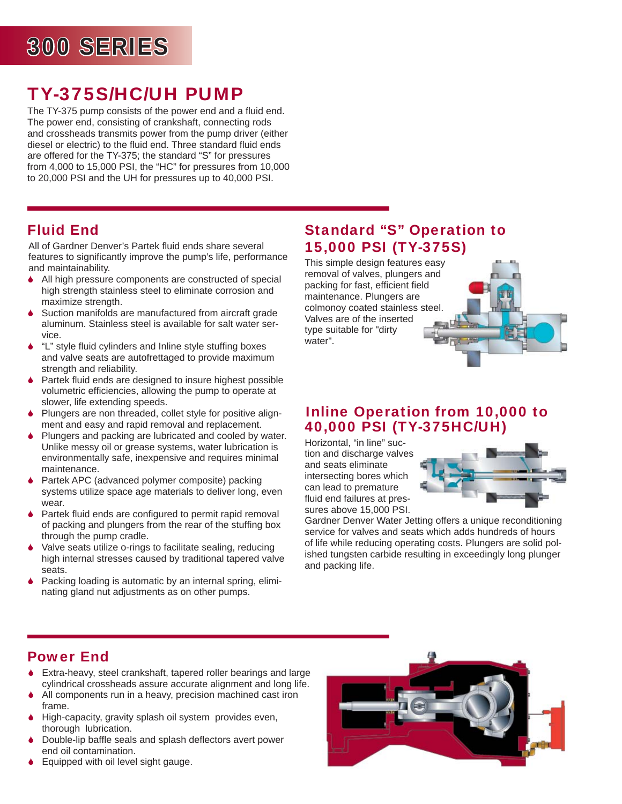# 300 SERIES 00

## TY-375S/HC/UH PUMP

The TY-375 pump consists of the power end and a fluid end. The power end, consisting of crankshaft, connecting rods and crossheads transmits power from the pump driver (either diesel or electric) to the fluid end. Three standard fluid ends are offered for the TY-375; the standard "S" for pressures from 4,000 to 15,000 PSI, the "HC" for pressures from 10,000 to 20,000 PSI and the UH for pressures up to 40,000 PSI.

### Fluid End

All of Gardner Denver's Partek fluid ends share several features to significantly improve the pump's life, performance and maintainability.

- 6 All high pressure components are constructed of special high strength stainless steel to eliminate corrosion and maximize strength.
- Suction manifolds are manufactured from aircraft grade aluminum. Stainless steel is available for salt water service.
- "L" style fluid cylinders and Inline style stuffing boxes and valve seats are autofrettaged to provide maximum strength and reliability.
- $\blacklozenge$  Partek fluid ends are designed to insure highest possible volumetric efficiencies, allowing the pump to operate at slower, life extending speeds.
- 6 Plungers are non threaded, collet style for positive alignment and easy and rapid removal and replacement.
- Plungers and packing are lubricated and cooled by water. Unlike messy oil or grease systems, water lubrication is environmentally safe, inexpensive and requires minimal maintenance.
- 6 Partek APC (advanced polymer composite) packing systems utilize space age materials to deliver long, even wear.
- $\blacklozenge$  Partek fluid ends are configured to permit rapid removal of packing and plungers from the rear of the stuffing box through the pump cradle.
- 6 Valve seats utilize o-rings to facilitate sealing, reducing high internal stresses caused by traditional tapered valve seats.
- Packing loading is automatic by an internal spring, eliminating gland nut adjustments as on other pumps.

#### Standard "S" Operation to 15,000 PSI (TY-375S)

This simple design features easy removal of valves, plungers and packing for fast, efficient field maintenance. Plungers are colmonoy coated stainless steel. Valves are of the inserted type suitable for "dirty water".



#### Inline Operation from 10,000 to 40,000 PSI (TY-375HC/UH)

Horizontal, "in line" suction and discharge valves and seats eliminate intersecting bores which can lead to premature fluid end failures at pressures above 15,000 PSI.



Gardner Denver Water Jetting offers a unique reconditioning service for valves and seats which adds hundreds of hours of life while reducing operating costs. Plungers are solid polished tungsten carbide resulting in exceedingly long plunger and packing life.

#### Power End

- 6 Extra-heavy, steel crankshaft, tapered roller bearings and large cylindrical crossheads assure accurate alignment and long life.
- ♦ All components run in a heavy, precision machined cast iron frame.
- 6 High-capacity, gravity splash oil system provides even, thorough lubrication.
- Double-lip baffle seals and splash deflectors avert power end oil contamination.
- ♦ Equipped with oil level sight gauge.

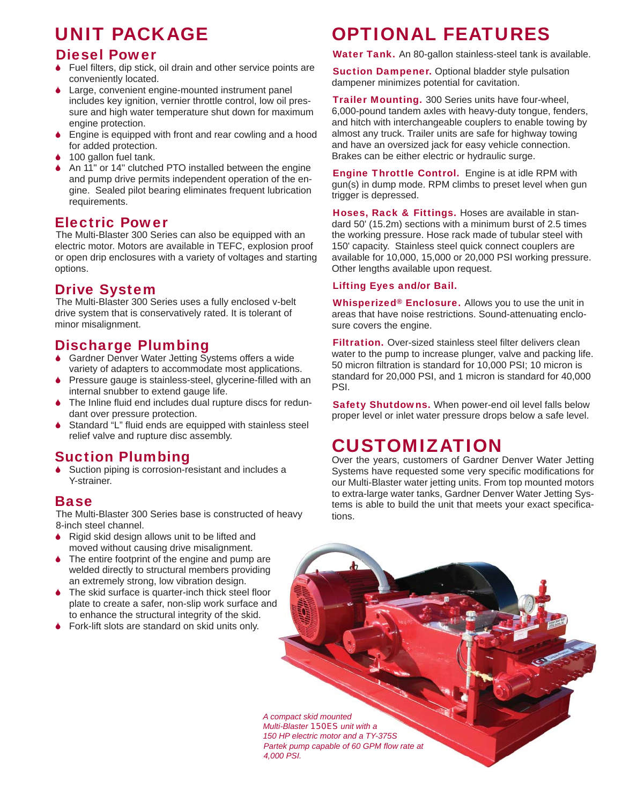## UNIT PACKAGE

#### Diesel Power

- $\bullet$  Fuel filters, dip stick, oil drain and other service points are conveniently located.
- Large, convenient engine-mounted instrument panel includes key ignition, vernier throttle control, low oil pressure and high water temperature shut down for maximum engine protection.
- 6 Engine is equipped with front and rear cowling and a hood for added protection.
- 100 gallon fuel tank.
- 6 An 11" or 14" clutched PTO installed between the engine and pump drive permits independent operation of the engine. Sealed pilot bearing eliminates frequent lubrication requirements.

#### Electric Power

The Multi-Blaster 300 Series can also be equipped with an electric motor. Motors are available in TEFC, explosion proof or open drip enclosures with a variety of voltages and starting options.

#### Drive System

The Multi-Blaster 300 Series uses a fully enclosed v-belt drive system that is conservatively rated. It is tolerant of minor misalignment.

#### Discharge Plumbing

- 6 Gardner Denver Water Jetting Systems offers a wide variety of adapters to accommodate most applications.
- Pressure gauge is stainless-steel, glycerine-filled with an internal snubber to extend gauge life.
- The Inline fluid end includes dual rupture discs for redundant over pressure protection.
- Standard "L" fluid ends are equipped with stainless steel relief valve and rupture disc assembly.

#### Suction Plumbing

Suction piping is corrosion-resistant and includes a Y-strainer.

#### **Base**

The Multi-Blaster 300 Series base is constructed of heavy 8-inch steel channel.

- ◆ Rigid skid design allows unit to be lifted and moved without causing drive misalignment.
- The entire footprint of the engine and pump are welded directly to structural members providing an extremely strong, low vibration design.
- $\bullet$  The skid surface is quarter-inch thick steel floor plate to create a safer, non-slip work surface and to enhance the structural integrity of the skid.
- ♦ Fork-lift slots are standard on skid units only.

### OPTIONAL FEATURES

Water Tank. An 80-gallon stainless-steel tank is available.

**Suction Dampener.** Optional bladder style pulsation dampener minimizes potential for cavitation.

Trailer Mounting. 300 Series units have four-wheel, 6,000-pound tandem axles with heavy-duty tongue, fenders, and hitch with interchangeable couplers to enable towing by almost any truck. Trailer units are safe for highway towing and have an oversized jack for easy vehicle connection. Brakes can be either electric or hydraulic surge.

Engine Throttle Control. Engine is at idle RPM with gun(s) in dump mode. RPM climbs to preset level when gun trigger is depressed.

Hoses, Rack & Fittings. Hoses are available in standard 50' (15.2m) sections with a minimum burst of 2.5 times the working pressure. Hose rack made of tubular steel with 150' capacity. Stainless steel quick connect couplers are available for 10,000, 15,000 or 20,000 PSI working pressure. Other lengths available upon request.

#### Lifting Eyes and/or Bail.

Whisperized<sup>®</sup> Enclosure. Allows you to use the unit in areas that have noise restrictions. Sound-attenuating enclosure covers the engine.

**Filtration.** Over-sized stainless steel filter delivers clean water to the pump to increase plunger, valve and packing life. 50 micron filtration is standard for 10,000 PSI; 10 micron is standard for 20,000 PSI, and 1 micron is standard for 40,000 PSI.

Safety Shutdowns. When power-end oil level falls below proper level or inlet water pressure drops below a safe level.

## CUSTOMIZATION

Over the years, customers of Gardner Denver Water Jetting Systems have requested some very specific modifications for our Multi-Blaster water jetting units. From top mounted motors to extra-large water tanks, Gardner Denver Water Jetting Systems is able to build the unit that meets your exact specifications.

*A compact skid mounted Multi-Blaster 150ES unit with a 150 HP electric motor and a TY-375S*  **Partek pump capable of 60 GPM flow rate at** *4,000 PSI.*